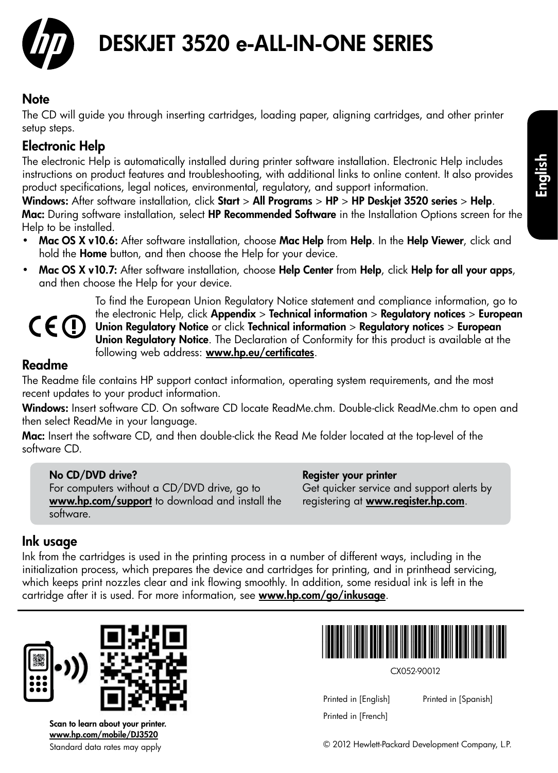

# DESKJET 3520 e-ALL-IN-ONE SERIES

## **Note**

The CD will guide you through inserting cartridges, loading paper, aligning cartridges, and other printer setup steps.

## Electronic Help

The electronic Help is automatically installed during printer software installation. Electronic Help includes instructions on product features and troubleshooting, with additional links to online content. It also provides product specifications, legal notices, environmental, regulatory, and support information.

Windows: After software installation, click Start > All Programs > HP > HP Deskjet 3520 series > Help. Mac: During software installation, select HP Recommended Software in the Installation Options screen for the Help to be installed.

- Mac OS X v10.6: After software installation, choose Mac Help from Help. In the Help Viewer, click and hold the **Home** button, and then choose the Help for your device.
- Mac OS X v10.7: After software installation, choose Help Center from Help, click Help for all your apps, and then choose the Help for your device.



To find the European Union Regulatory Notice statement and compliance information, go to the electronic Help, click Appendix > Technical information > Regulatory notices > European Union Regulatory Notice or click Technical information > Regulatory notices > European Union Regulatory Notice. The Declaration of Conformity for this product is available at the following web address: [www.hp.eu/certificates](http://www.hp.eu/certificates).

## Readme

The Readme file contains HP support contact information, operating system requirements, and the most recent updates to your product information.

Windows: Insert software CD. On software CD locate ReadMe.chm. Double-click ReadMe.chm to open and then select ReadMe in your language.

Mac: Insert the software CD, and then double-click the Read Me folder located at the top-level of the software CD.

## No CD/DVD drive?

For computers without a CD/DVD drive, go to [www.hp.com/support](http://www.hp.com/support) to download and install the software.

### Register your printer

Get quicker service and support alerts by registering at [www.register.hp.com](http://www.register.hp.com).

## Ink usage

Ink from the cartridges is used in the printing process in a number of different ways, including in the initialization process, which prepares the device and cartridges for printing, and in printhead servicing, which keeps print nozzles clear and ink flowing smoothly. In addition, some residual ink is left in the cartridge after it is used. For more information, see <www.hp.com/go/inkusage>.



Standard data rates may apply Scan to learn about your printer. [www.hp.com/mobile/DJ3520](http://www.hp.com/mobile/DJ3520)



CX052-90012

Printed in [English] Printed in [French]

Printed in [Spanish]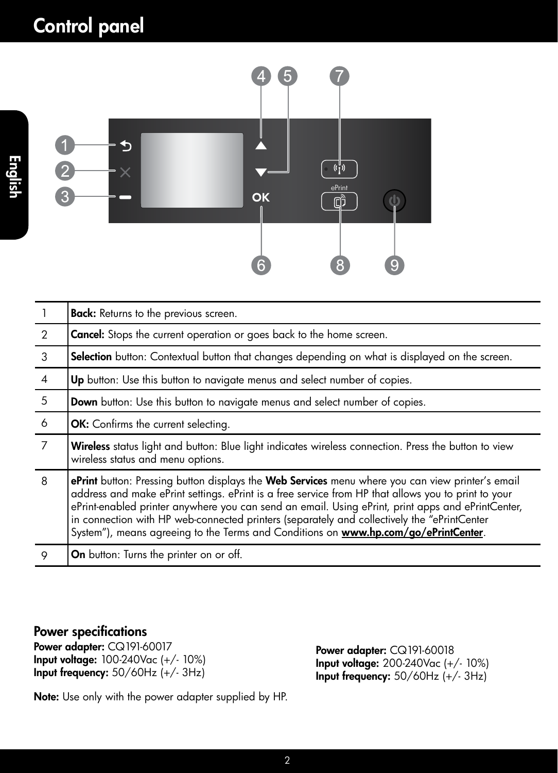

|                | <b>Back:</b> Returns to the previous screen.                                                                                                                                                                                                                                                                                                                                                                                                                                                       |
|----------------|----------------------------------------------------------------------------------------------------------------------------------------------------------------------------------------------------------------------------------------------------------------------------------------------------------------------------------------------------------------------------------------------------------------------------------------------------------------------------------------------------|
| $\mathcal{P}$  | <b>Cancel:</b> Stops the current operation or goes back to the home screen.                                                                                                                                                                                                                                                                                                                                                                                                                        |
| $\mathbf{3}$   | Selection button: Contextual button that changes depending on what is displayed on the screen.                                                                                                                                                                                                                                                                                                                                                                                                     |
| $\overline{4}$ | Up button: Use this button to navigate menus and select number of copies.                                                                                                                                                                                                                                                                                                                                                                                                                          |
| - 5            | Down button: Use this button to navigate menus and select number of copies.                                                                                                                                                                                                                                                                                                                                                                                                                        |
| 6              | OK: Confirms the current selecting.                                                                                                                                                                                                                                                                                                                                                                                                                                                                |
| $\overline{7}$ | Wireless status light and button: Blue light indicates wireless connection. Press the button to view<br>wireless status and menu options.                                                                                                                                                                                                                                                                                                                                                          |
| 8              | ePrint button: Pressing button displays the Web Services menu where you can view printer's email<br>address and make ePrint settings. ePrint is a free service from HP that allows you to print to your<br>ePrint-enabled printer anywhere you can send an email. Using ePrint, print apps and ePrintCenter,<br>in connection with HP web-connected printers (separately and collectively the "ePrintCenter<br>System"), means agreeing to the Terms and Conditions on www.hp.com/go/ePrintCenter. |
| 9              | <b>On</b> button: Turns the printer on or off.                                                                                                                                                                                                                                                                                                                                                                                                                                                     |

## Power specifications

Power adapter: CQ191-60017 Input voltage: 100-240Vac (+/- 10%) Input frequency: 50/60Hz (+/- 3Hz)

Power adapter: CQ191-60018 Input voltage: 200-240Vac (+/- 10%) Input frequency: 50/60Hz (+/- 3Hz)

Note: Use only with the power adapter supplied by HP.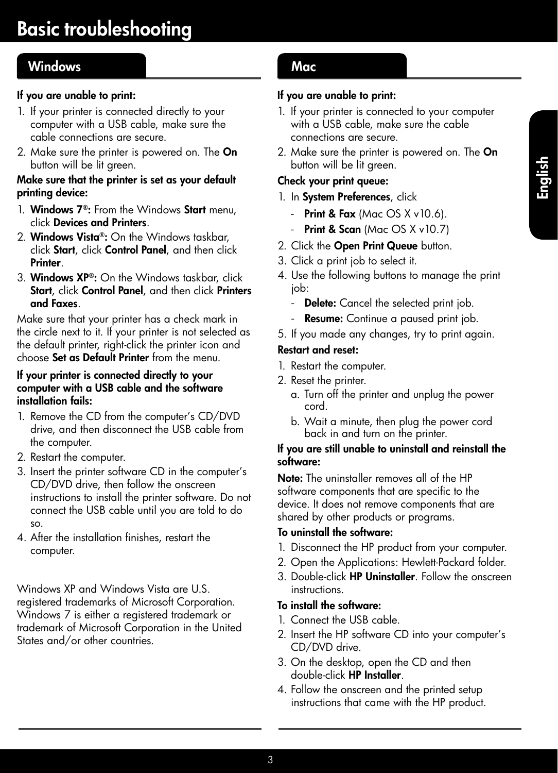## Windows Mac

## If you are unable to print:

- 1. If your printer is connected directly to your computer with a USB cable, make sure the cable connections are secure.
- 2. Make sure the printer is powered on. The On button will be lit green.

### Make sure that the printer is set as your default printing device:

- 1. Windows 7®: From the Windows Start menu, click Devices and Printers.
- 2. Windows Vista®: On the Windows taskbar, click Start, click Control Panel, and then click **Printer**
- 3. Windows XP®: On the Windows taskbar, click Start, click Control Panel, and then click Printers and Faxes.

Make sure that your printer has a check mark in the circle next to it. If your printer is not selected as the default printer, right-click the printer icon and choose Set as Default Printer from the menu.

### If your printer is connected directly to your computer with a USB cable and the software installation fails:

- 1. Remove the CD from the computer's CD/DVD drive, and then disconnect the USB cable from the computer.
- 2. Restart the computer.
- 3. Insert the printer software CD in the computer's CD/DVD drive, then follow the onscreen instructions to install the printer software. Do not connect the USB cable until you are told to do so.
- 4. After the installation finishes, restart the computer.

Windows XP and Windows Vista are U.S. registered trademarks of Microsoft Corporation. Windows 7 is either a registered trademark or trademark of Microsoft Corporation in the United States and/or other countries.

## If you are unable to print:

- 1. If your printer is connected to your computer with a USB cable, make sure the cable connections are secure.
- 2. Make sure the printer is powered on. The On button will be lit green.

## Check your print queue:

- 1. In System Preferences, click
	- Print & Fax (Mac  $OS X v 10.6$ ).
	- Print & Scan (Mac  $OS X v 10.7$ )
- 2. Click the Open Print Queue button.
- 3. Click a print job to select it.
- 4. Use the following buttons to manage the print job:
	- **Delete:** Cancel the selected print job.
	- Resume: Continue a paused print job.
- 5. If you made any changes, try to print again.

### Restart and reset:

- 1. Restart the computer.
- 2. Reset the printer.
	- a. Turn off the printer and unplug the power cord.
	- b. Wait a minute, then plug the power cord back in and turn on the printer.

### If you are still unable to uninstall and reinstall the software:

Note: The uninstaller removes all of the HP software components that are specific to the device. It does not remove components that are shared by other products or programs.

### To uninstall the software:

- 1. Disconnect the HP product from your computer.
- 2. Open the Applications: Hewlett-Packard folder.
- 3. Double-click HP Uninstaller. Follow the onscreen instructions.

### To install the software:

- 1. Connect the USB cable.
- 2. Insert the HP software CD into your computer's CD/DVD drive.
- 3. On the desktop, open the CD and then double-click HP Installer.
- 4. Follow the onscreen and the printed setup instructions that came with the HP product.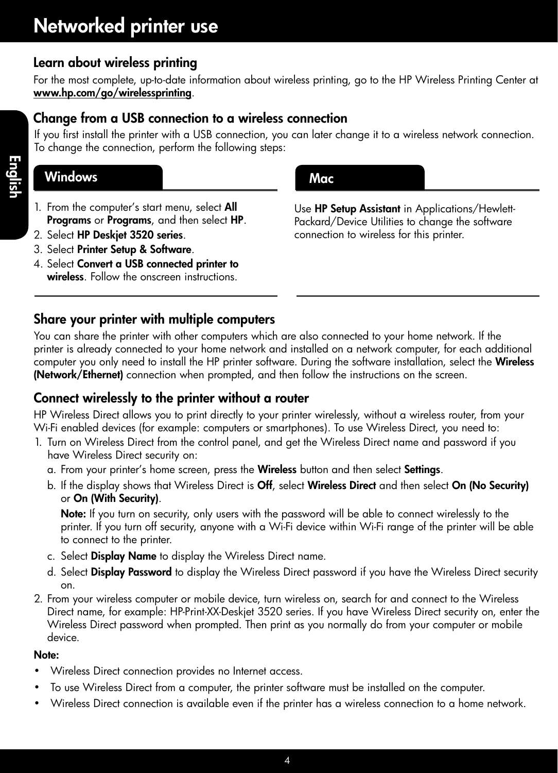## Learn about wireless printing

For the most complete, up-to-date information about wireless printing, go to the HP Wireless Printing Center at <www.hp.com/go/wirelessprinting>.

## Change from a USB connection to a wireless connection

If you first install the printer with a USB connection, you can later change it to a wireless network connection. To change the connection, perform the following steps:

## Windows **Mac** Mac **Mac**

- 1. From the computer's start menu, select All Programs or Programs, and then select HP.
- 2. Select HP Deskjet 3520 series.
- 3. Select Printer Setup & Software.
- 4. Select Convert a USB connected printer to wireless. Follow the onscreen instructions.



Use HP Setup Assistant in Applications/Hewlett-Packard/Device Utilities to change the software connection to wireless for this printer.

## Share your printer with multiple computers

You can share the printer with other computers which are also connected to your home network. If the printer is already connected to your home network and installed on a network computer, for each additional computer you only need to install the HP printer software. During the software installation, select the Wireless (Network/Ethernet) connection when prompted, and then follow the instructions on the screen.

## Connect wirelessly to the printer without a router

HP Wireless Direct allows you to print directly to your printer wirelessly, without a wireless router, from your Wi-Fi enabled devices (for example: computers or smartphones). To use Wireless Direct, you need to:

- 1. Turn on Wireless Direct from the control panel, and get the Wireless Direct name and password if you have Wireless Direct security on:
	- a. From your printer's home screen, press the Wireless button and then select Settings.
	- b. If the display shows that Wireless Direct is Off, select Wireless Direct and then select On (No Security) or On (With Security).

Note: If you turn on security, only users with the password will be able to connect wirelessly to the printer. If you turn off security, anyone with a Wi-Fi device within Wi-Fi range of the printer will be able to connect to the printer.

- c. Select **Display Name** to display the Wireless Direct name.
- d. Select **Display Password** to display the Wireless Direct password if you have the Wireless Direct security on.
- 2. From your wireless computer or mobile device, turn wireless on, search for and connect to the Wireless Direct name, for example: HP-Print-XX-Deskjet 3520 series. If you have Wireless Direct security on, enter the Wireless Direct password when prompted. Then print as you normally do from your computer or mobile device.

### Note:

- Wireless Direct connection provides no Internet access.
- To use Wireless Direct from a computer, the printer software must be installed on the computer.
- Wireless Direct connection is available even if the printer has a wireless connection to a home network.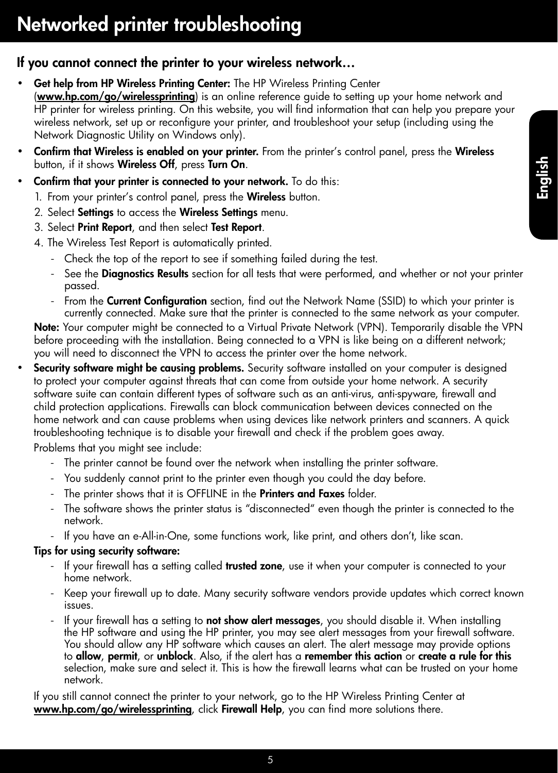## If you cannot connect the printer to your wireless network…

- Get help from HP Wireless Printing Center: The HP Wireless Printing Center ([www.hp.com/go/wirelessprinting](http://www.hp.com/go/wirelessprinting)) is an online reference guide to setting up your home network and HP printer for wireless printing. On this website, you will find information that can help you prepare your wireless network, set up or reconfigure your printer, and troubleshoot your setup (including using the Network Diagnostic Utility on Windows only).
- Confirm that Wireless is enabled on your printer. From the printer's control panel, press the Wireless button, if it shows Wireless Off, press Turn On.
- Confirm that your printer is connected to your network. To do this:
	- 1. From your printer's control panel, press the **Wireless** button.
	- 2. Select Settings to access the Wireless Settings menu.
	- 3. Select Print Report, and then select Test Report.
	- 4. The Wireless Test Report is automatically printed.
		- Check the top of the report to see if something failed during the test.
		- See the **Diagnostics Results** section for all tests that were performed, and whether or not your printer passed.
		- From the Current Configuration section, find out the Network Name (SSID) to which your printer is currently connected. Make sure that the printer is connected to the same network as your computer.

Note: Your computer might be connected to a Virtual Private Network (VPN). Temporarily disable the VPN before proceeding with the installation. Being connected to a VPN is like being on a different network; you will need to disconnect the VPN to access the printer over the home network.

**Security software might be causing problems.** Security software installed on your computer is designed to protect your computer against threats that can come from outside your home network. A security software suite can contain different types of software such as an anti-virus, anti-spyware, firewall and child protection applications. Firewalls can block communication between devices connected on the home network and can cause problems when using devices like network printers and scanners. A quick troubleshooting technique is to disable your firewall and check if the problem goes away.

Problems that you might see include:

- The printer cannot be found over the network when installing the printer software.
- You suddenly cannot print to the printer even though you could the day before.
- The printer shows that it is OFFLINE in the **Printers and Faxes** folder.
- The software shows the printer status is "disconnected" even though the printer is connected to the network.
- If you have an e-All-in-One, some functions work, like print, and others don't, like scan.

### Tips for using security software:

- If your firewall has a setting called **trusted zone**, use it when your computer is connected to your home network.
- Keep your firewall up to date. Many security software vendors provide updates which correct known issues.
- If your firewall has a setting to **not show alert messages**, you should disable it. When installing the HP software and using the HP printer, you may see alert messages from your firewall software. You should allow any HP software which causes an alert. The alert message may provide options to allow, permit, or unblock. Also, if the alert has a remember this action or create a rule for this selection, make sure and select it. This is how the firewall learns what can be trusted on your home network.

If you still cannot connect the printer to your network, go to the HP Wireless Printing Center at [www.hp.com/go/wirelessprinting](http://www.hp.com/go/wirelessprinting), click Firewall Help, you can find more solutions there.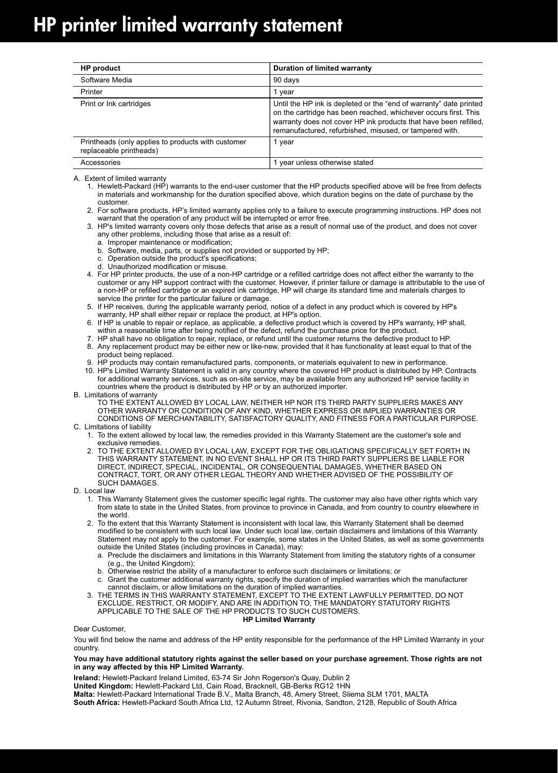| <b>HP</b> product                                                             | Duration of limited warranty                                                                                                                                                                                                                                         |
|-------------------------------------------------------------------------------|----------------------------------------------------------------------------------------------------------------------------------------------------------------------------------------------------------------------------------------------------------------------|
| Software Media                                                                | 90 days                                                                                                                                                                                                                                                              |
| Printer                                                                       | 1 vear                                                                                                                                                                                                                                                               |
| Print or Ink cartridges                                                       | Until the HP ink is depleted or the "end of warranty" date printed<br>on the cartridge has been reached, whichever occurs first. This<br>warranty does not cover HP ink products that have been refilled,<br>remanufactured, refurbished, misused, or tampered with. |
| Printheads (only applies to products with customer<br>replaceable printheads) | 1 year                                                                                                                                                                                                                                                               |
| Accessories                                                                   | year unless otherwise stated                                                                                                                                                                                                                                         |

A. Extent of limited warranty

 1. Hewlett-Packard (HP) warrants to the end-user customer that the HP products specified above will be free from defects in materials and workmanship for the duration specified above, which duration begins on the date of purchase by the customer.

 2. For software products, HP's limited warranty applies only to a failure to execute programming instructions. HP does not warrant that the operation of any product will be interrupted or error free.

 3. HP's limited warranty covers only those defects that arise as a result of normal use of the product, and does not cover any other problems, including those that arise as a result of:

- a. Improper maintenance or modification;
- b. Software, media, parts, or supplies not provided or supported by HP;
- c. Operation outside the product's specifications;
- d. Unauthorized modification or misuse.

 4. For HP printer products, the use of a non-HP cartridge or a refilled cartridge does not affect either the warranty to the customer or any HP support contract with the customer. However, if printer failure or damage is attributable to the use of a non-HP or refilled cartridge or an expired ink cartridge, HP will charge its standard time and materials charges to service the printer for the particular failure or damage.

 5. If HP receives, during the applicable warranty period, notice of a defect in any product which is covered by HP's warranty, HP shall either repair or replace the product, at HP's option.

- 6. If HP is unable to repair or replace, as applicable, a defective product which is covered by HP's warranty, HP shall,
- within a reasonable time after being notified of the defect, refund the purchase price for the product. 7. HP shall have no obligation to repair, replace, or refund until the customer returns the defective product to HP.
	- 8. Any replacement product may be either new or like-new, provided that it has functionality at least equal to that of the product being replaced.
	- 9. HP products may contain remanufactured parts, components, or materials equivalent to new in performance.

10. HP's Limited Warranty Statement is valid in any country where the covered HP product is distributed by HP. Contracts for additional warranty services, such as on-site service, may be available from any authorized HP service facility in countries where the product is distributed by HP or by an authorized importer.

B. Limitations of warranty TO THE EXTENT ALLOWED BY LOCAL LAW, NEITHER HP NOR ITS THIRD PARTY SUPPLIERS MAKES ANY OTHER WARRANTY OR CONDITION OF ANY KIND, WHETHER EXPRESS OR IMPLIED WARRANTIES OR CONDITIONS OF MERCHANTABILITY, SATISFACTORY QUALITY, AND FITNESS FOR A PARTICULAR PURPOSE.

- C. Limitations of liability
	- 1. To the extent allowed by local law, the remedies provided in this Warranty Statement are the customer's sole and exclusive remedies.
	- 2. TO THE EXTENT ALLOWED BY LOCAL LAW, EXCEPT FOR THE OBLIGATIONS SPECIFICALLY SET FORTH IN THIS WARRANTY STATEMENT, IN NO EVENT SHALL HP OR ITS THIRD PARTY SUPPLIERS BE LIABLE FOR DIRECT, INDIRECT, SPECIAL, INCIDENTAL, OR CONSEQUENTIAL DAMAGES, WHETHER BASED ON CONTRACT, TORT, OR ANY OTHER LEGAL THEORY AND WHETHER ADVISED OF THE POSSIBILITY OF SUCH DAMAGES.
- D. Local law
	- 1. This Warranty Statement gives the customer specific legal rights. The customer may also have other rights which vary from state to state in the United States, from province to province in Canada, and from country to country elsewhere in the world.
	- 2. To the extent that this Warranty Statement is inconsistent with local law, this Warranty Statement shall be deemed modified to be consistent with such local law. Under such local law, certain disclaimers and limitations of this Warranty Statement may not apply to the customer. For example, some states in the United States, as well as some governments outside the United States (including provinces in Canada), may:
		- a. Preclude the disclaimers and limitations in this Warranty Statement from limiting the statutory rights of a consumer (e.g., the United Kingdom);
		- b. Otherwise restrict the ability of a manufacturer to enforce such disclaimers or limitations; or
		- c. Grant the customer additional warranty rights, specify the duration of implied warranties which the manufacturer cannot disclaim, or allow limitations on the duration of implied warranties.

 3. THE TERMS IN THIS WARRANTY STATEMENT, EXCEPT TO THE EXTENT LAWFULLY PERMITTED, DO NOT EXCLUDE, RESTRICT, OR MODIFY, AND ARE IN ADDITION TO, THE MANDATORY STATUTORY RIGHTS APPLICABLE TO THE SALE OF THE HP PRODUCTS TO SUCH CUSTOMERS. **HP Limited Warranty**

Dear Customer,

You will find below the name and address of the HP entity responsible for the performance of the HP Limited Warranty in your country.

#### **You may have additional statutory rights against the seller based on your purchase agreement. Those rights are not in any way affected by this HP Limited Warranty.**

**Ireland:** Hewlett-Packard Ireland Limited, 63-74 Sir John Rogerson's Quay, Dublin 2 **United Kingdom:** Hewlett-Packard Ltd, Cain Road, Bracknell, GB-Berks RG12 1HN **Malta:** Hewlett-Packard International Trade B.V., Malta Branch, 48, Amery Street, Sliema SLM 1701, MALTA **South Africa:** Hewlett-Packard South Africa Ltd, 12 Autumn Street, Rivonia, Sandton, 2128, Republic of South Africa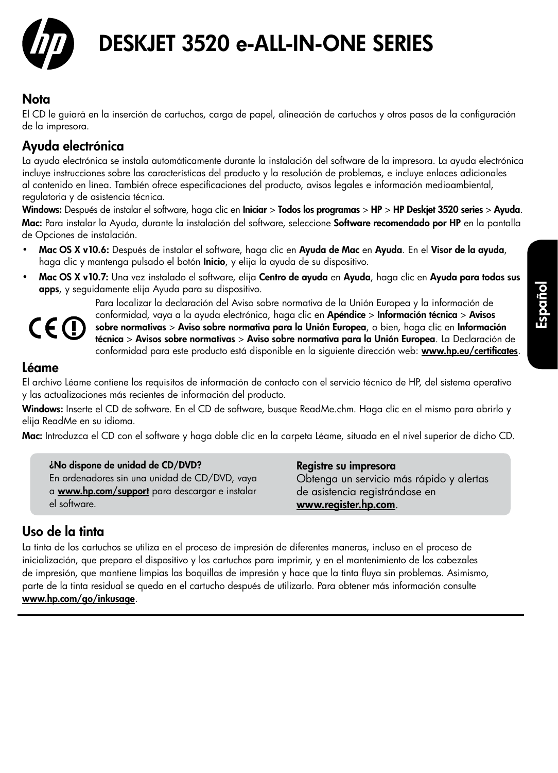

# DESKJET 3520 e-ALL-IN-ONE SERIES

## Nota

El CD le guiará en la inserción de cartuchos, carga de papel, alineación de cartuchos y otros pasos de la configuración de la impresora.

## Ayuda electrónica

La ayuda electrónica se instala automáticamente durante la instalación del software de la impresora. La ayuda electrónica incluye instrucciones sobre las características del producto y la resolución de problemas, e incluye enlaces adicionales al contenido en línea. También ofrece especificaciones del producto, avisos legales e información medioambiental, regulatoria y de asistencia técnica.

Windows: Después de instalar el software, haga clic en Iniciar > Todos los programas > HP > HP Deskjet 3520 series > Ayuda. Mac: Para instalar la Ayuda, durante la instalación del software, seleccione Software recomendado por HP en la pantalla de Opciones de instalación.

- Mac OS X v10.6: Después de instalar el software, haga clic en Ayuda de Mac en Ayuda. En el Visor de la ayuda, haga clic y mantenga pulsado el botón **Inicio**, y elija la ayuda de su dispositivo.
- Mac OS X v10.7: Una vez instalado el software, elija Centro de ayuda en Ayuda, haga clic en Ayuda para todas sus apps, y seguidamente elija Ayuda para su dispositivo.

CE (I)

Para localizar la declaración del Aviso sobre normativa de la Unión Europea y la información de conformidad, vaya a la ayuda electrónica, haga clic en Apéndice > Información técnica > Avisos sobre normativas > Aviso sobre normativa para la Unión Europea, o bien, haga clic en Información técnica > Avisos sobre normativas > Aviso sobre normativa para la Unión Europea. La Declaración de conformidad para este producto está disponible en la siguiente dirección web: **[www.hp.eu/certificates](http://www.hp.eu/certificates)**.

## Léame

El archivo Léame contiene los requisitos de información de contacto con el servicio técnico de HP, del sistema operativo y las actualizaciones más recientes de información del producto.

Windows: Inserte el CD de software. En el CD de software, busque ReadMe.chm. Haga clic en el mismo para abrirlo y elija ReadMe en su idioma.

Mac: Introduzca el CD con el software y haga doble clic en la carpeta Léame, situada en el nivel superior de dicho CD.

¿No dispone de unidad de CD/DVD? En ordenadores sin una unidad de CD/DVD, vaya a **[www.hp.com/support](http://www.hp.com/support)** para descargar e instalar el software.

Registre su impresora Obtenga un servicio más rápido y alertas de asistencia registrándose en [www.register.hp.com](http://www.register.hp.com).

## Uso de la tinta

La tinta de los cartuchos se utiliza en el proceso de impresión de diferentes maneras, incluso en el proceso de inicialización, que prepara el dispositivo y los cartuchos para imprimir, y en el mantenimiento de los cabezales de impresión, que mantiene limpias las boquillas de impresión y hace que la tinta fluya sin problemas. Asimismo, parte de la tinta residual se queda en el cartucho después de utilizarlo. Para obtener más información consulte [www.hp.com/go/inkusage](http://www.hp.com/go/inkusage).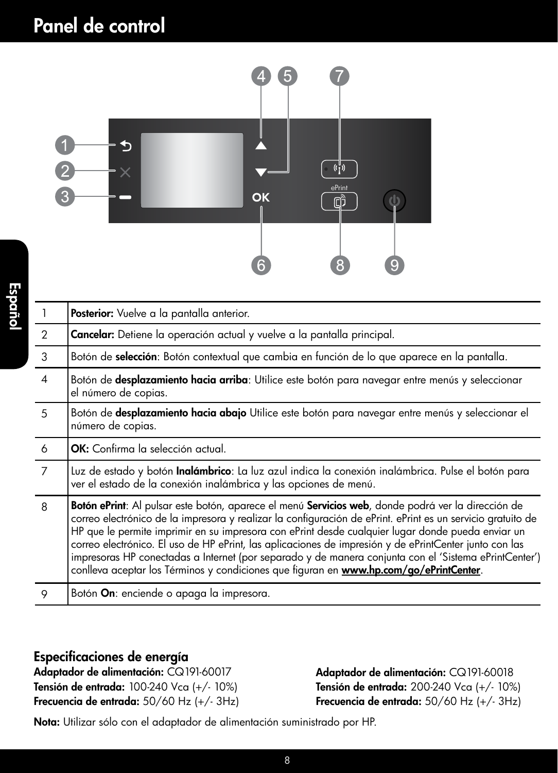# Panel de control



| $\overline{1}$ | Posterior: Vuelve a la pantalla anterior.                                                                                                                                                                                                                                                                                                                                                                                                                                                                                                                                                                                           |
|----------------|-------------------------------------------------------------------------------------------------------------------------------------------------------------------------------------------------------------------------------------------------------------------------------------------------------------------------------------------------------------------------------------------------------------------------------------------------------------------------------------------------------------------------------------------------------------------------------------------------------------------------------------|
| $\overline{2}$ | <b>Cancelar:</b> Detiene la operación actual y vuelve a la pantalla principal.                                                                                                                                                                                                                                                                                                                                                                                                                                                                                                                                                      |
| 3              | Botón de selección: Botón contextual que cambia en función de lo que aparece en la pantalla.                                                                                                                                                                                                                                                                                                                                                                                                                                                                                                                                        |
| $\overline{4}$ | Botón de desplazamiento hacia arriba: Utilice este botón para navegar entre menús y seleccionar<br>el número de copias.                                                                                                                                                                                                                                                                                                                                                                                                                                                                                                             |
| 5              | Botón de desplazamiento hacia abajo Utilice este botón para navegar entre menús y seleccionar el<br>número de copias.                                                                                                                                                                                                                                                                                                                                                                                                                                                                                                               |
| 6              | <b>OK:</b> Confirma la selección actual.                                                                                                                                                                                                                                                                                                                                                                                                                                                                                                                                                                                            |
| 7              | Luz de estado y botón <b>Inalámbrico</b> : La luz azul indica la conexión inalámbrica. Pulse el botón para<br>ver el estado de la conexión inalámbrica y las opciones de menú.                                                                                                                                                                                                                                                                                                                                                                                                                                                      |
| 8              | Botón ePrint: Al pulsar este botón, aparece el menú Servicios web, donde podrá ver la dirección de<br>correo electrónico de la impresora y realizar la configuración de ePrint. ePrint es un servicio gratuito de<br>HP que le permite imprimir en su impresora con ePrint desde cualquier lugar donde pueda enviar un<br>correo electrónico. El uso de HP ePrint, las aplicaciones de impresión y de ePrintCenter junto con las<br>impresoras HP conectadas a Internet (por separado y de manera conjunta con el 'Sistema ePrintCenter')<br>conlleva aceptar los Términos y condiciones que figuran en www.hp.com/go/ePrintCenter. |
| 9              | Botón On: enciende o apaga la impresora.                                                                                                                                                                                                                                                                                                                                                                                                                                                                                                                                                                                            |
|                |                                                                                                                                                                                                                                                                                                                                                                                                                                                                                                                                                                                                                                     |

## Especificaciones de energía

Adaptador de alimentación: CQ191-60017 Tensión de entrada: 100-240 Vca (+/- 10%) Frecuencia de entrada: 50/60 Hz (+/- 3Hz) Adaptador de alimentación: CQ191-60018 Tensión de entrada: 200-240 Vca (+/- 10%) Frecuencia de entrada:  $50/60$  Hz (+/-  $3$ Hz)

Nota: Utilizar sólo con el adaptador de alimentación suministrado por HP.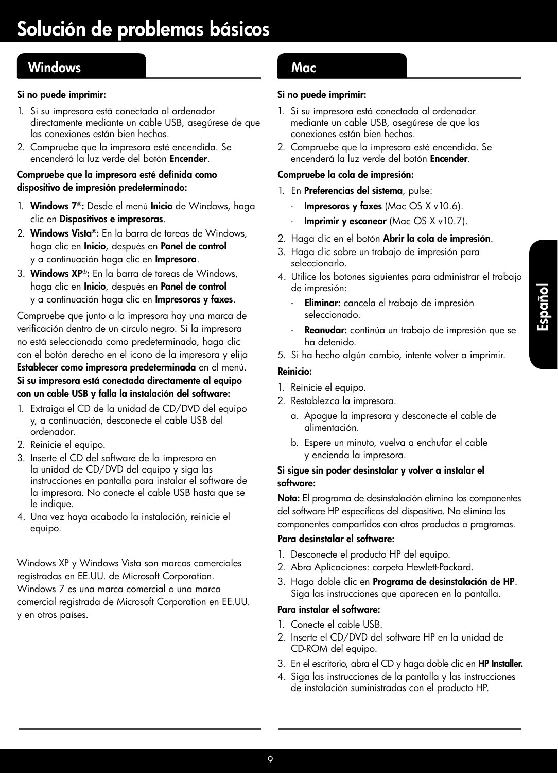## Windows **Mac**

### Si no puede imprimir:

- 1. Si su impresora está conectada al ordenador directamente mediante un cable USB, asegúrese de que las conexiones están bien hechas.
- 2. Compruebe que la impresora esté encendida. Se encenderá la luz verde del botón Encender.

#### Compruebe que la impresora esté definida como dispositivo de impresión predeterminado:

- 1. Windows 7®: Desde el menú Inicio de Windows, haga clic en Dispositivos e impresoras.
- 2. Windows Vista®: En la barra de tareas de Windows, haga clic en Inicio, después en Panel de control y a continuación haga clic en Impresora.
- 3. Windows XP®: En la barra de tareas de Windows, haga clic en Inicio, después en Panel de control y a continuación haga clic en Impresoras y faxes.

Compruebe que junto a la impresora hay una marca de verificación dentro de un círculo negro. Si la impresora no está seleccionada como predeterminada, haga clic con el botón derecho en el icono de la impresora y elija Establecer como impresora predeterminada en el menú. Si su impresora está conectada directamente al equipo con un cable USB y falla la instalación del software:

- 1. Extraiga el CD de la unidad de CD/DVD del equipo y, a continuación, desconecte el cable USB del ordenador.
- 2. Reinicie el equipo.
- 3. Inserte el CD del software de la impresora en la unidad de CD/DVD del equipo y siga las instrucciones en pantalla para instalar el software de la impresora. No conecte el cable USB hasta que se le indique.
- 4. Una vez haya acabado la instalación, reinicie el equipo.

Windows XP y Windows Vista son marcas comerciales registradas en EE.UU. de Microsoft Corporation. Windows 7 es una marca comercial o una marca comercial registrada de Microsoft Corporation en EE.UU. y en otros países.

#### Si no puede imprimir:

- 1. Si su impresora está conectada al ordenador mediante un cable USB, asegúrese de que las conexiones están bien hechas.
- 2. Compruebe que la impresora esté encendida. Se encenderá la luz verde del botón Encender.

#### Compruebe la cola de impresión:

- 1. En Preferencias del sistema, pulse:
	- **Impresoras y faxes** (Mac OS  $X$  v10.6).
	- **Imprimir y escanear** (Mac  $OS X v 10.7$ ).
- 2. Haga clic en el botón Abrir la cola de impresión.
- 3. Haga clic sobre un trabajo de impresión para seleccionarlo.
- 4. Utilice los botones siguientes para administrar el trabajo de impresión:
	- Eliminar: cancela el trabajo de impresión seleccionado.
	- Reanudar: continúa un trabajo de impresión que se ha detenido.
- 5. Si ha hecho algún cambio, intente volver a imprimir.

#### Reinicio:

- 1. Reinicie el equipo.
- 2. Restablezca la impresora.
	- a. Apague la impresora y desconecte el cable de alimentación.
	- b. Espere un minuto, vuelva a enchufar el cable y encienda la impresora.

#### Si sigue sin poder desinstalar y volver a instalar el software:

Nota: El programa de desinstalación elimina los componentes del software HP específicos del dispositivo. No elimina los componentes compartidos con otros productos o programas.

#### Para desinstalar el software:

- 1. Desconecte el producto HP del equipo.
- 2. Abra Aplicaciones: carpeta Hewlett-Packard.
- 3. Haga doble clic en Programa de desinstalación de HP. Siga las instrucciones que aparecen en la pantalla.

#### Para instalar el software:

- 1. Conecte el cable USB.
- 2. Inserte el CD/DVD del software HP en la unidad de CD-ROM del equipo.
- 3. En el escritorio, abra el CD y haga doble clic en HP Installer.
- 4. Siga las instrucciones de la pantalla y las instrucciones de instalación suministradas con el producto HP.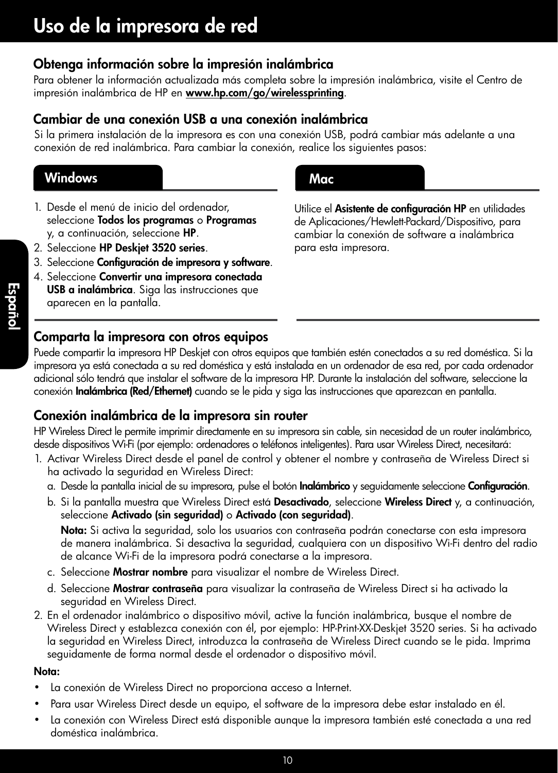## Obtenga información sobre la impresión inalámbrica

Para obtener la información actualizada más completa sobre la impresión inalámbrica, visite el Centro de impresión inalámbrica de HP en [www.hp.com/go/wirelessprinting](http://www.hp.com/go/wirelessprinting).

## Cambiar de una conexión USB a una conexión inalámbrica

Si la primera instalación de la impresora es con una conexión USB, podrá cambiar más adelante a una conexión de red inalámbrica. Para cambiar la conexión, realice los siguientes pasos:

## Windows **Mac**

- 1. Desde el menú de inicio del ordenador, seleccione Todos los programas o Programas y, a continuación, seleccione HP.
- 2. Seleccione HP Deskjet 3520 series.
- 3. Seleccione Configuración de impresora y software.
- 4. Seleccione Convertir una impresora conectada USB a inalámbrica. Siga las instrucciones que aparecen en la pantalla.

## Comparta la impresora con otros equipos

Utilice el Asistente de configuración HP en utilidades de Aplicaciones/Hewlett-Packard/Dispositivo, para cambiar la conexión de software a inalámbrica para esta impresora.

Puede compartir la impresora HP Deskjet con otros equipos que también estén conectados a su red doméstica. Si la impresora ya está conectada a su red doméstica y está instalada en un ordenador de esa red, por cada ordenador adicional sólo tendrá que instalar el software de la impresora HP. Durante la instalación del software, seleccione la conexión Inalámbrica (Red/Ethernet) cuando se le pida y siga las instrucciones que aparezcan en pantalla.

## Conexión inalámbrica de la impresora sin router

HP Wireless Direct le permite imprimir directamente en su impresora sin cable, sin necesidad de un router inalámbrico, desde dispositivos Wi-Fi (por ejemplo: ordenadores o teléfonos inteligentes). Para usar Wireless Direct, necesitará:

- 1. Activar Wireless Direct desde el panel de control y obtener el nombre y contraseña de Wireless Direct si ha activado la seguridad en Wireless Direct:
	- a. Desde la pantalla inicial de su impresora, pulse el botón **Inalámbrico** y seguidamente seleccione **Configuración**.
	- b. Si la pantalla muestra que Wireless Direct está Desactivado, seleccione Wireless Direct y, a continuación, seleccione Activado (sin seguridad) o Activado (con seguridad).

Nota: Si activa la seguridad, solo los usuarios con contraseña podrán conectarse con esta impresora de manera inalámbrica. Si desactiva la seguridad, cualquiera con un dispositivo Wi-Fi dentro del radio de alcance Wi-Fi de la impresora podrá conectarse a la impresora.

- c. Seleccione Mostrar nombre para visualizar el nombre de Wireless Direct.
- d. Seleccione Mostrar contraseña para visualizar la contraseña de Wireless Direct si ha activado la seguridad en Wireless Direct.
- 2. En el ordenador inalámbrico o dispositivo móvil, active la función inalámbrica, busque el nombre de Wireless Direct y establezca conexión con él, por ejemplo: HP-Print-XX-Deskjet 3520 series. Si ha activado la seguridad en Wireless Direct, introduzca la contraseña de Wireless Direct cuando se le pida. Imprima seguidamente de forma normal desde el ordenador o dispositivo móvil.

### Nota:

- La conexión de Wireless Direct no proporciona acceso a Internet.
- Para usar Wireless Direct desde un equipo, el software de la impresora debe estar instalado en él.
- La conexión con Wireless Direct está disponible aunque la impresora también esté conectada a una red doméstica inalámbrica.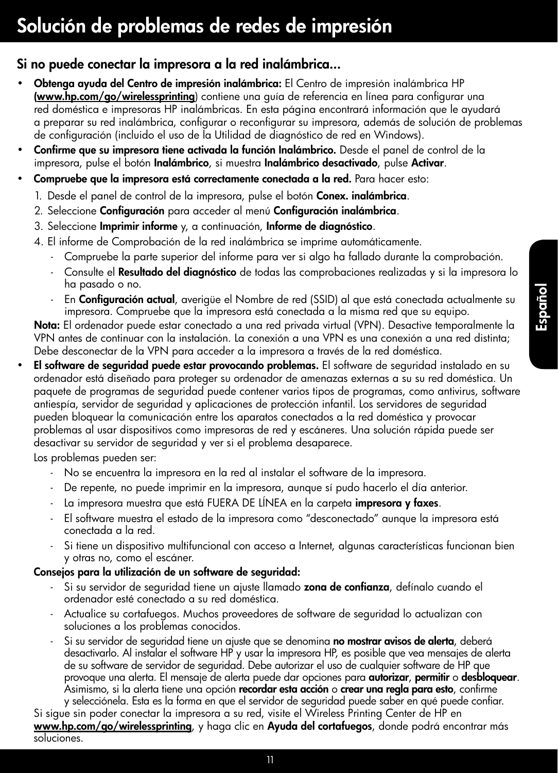## Si no puede conectar la impresora a la red inalámbrica...

- Obtenga ayuda del Centro de impresión inalámbrica: El Centro de impresión inalámbrica HP ([www.hp.com/go/wirelessprinting](http://www.hp.com/go/wirelessprinting)) contiene una guía de referencia en línea para configurar una red doméstica e impresoras HP inalámbricas. En esta página encontrará información que le ayudará a preparar su red inalámbrica, configurar o reconfigurar su impresora, además de solución de problemas de configuración (incluido el uso de la Utilidad de diagnóstico de red en Windows).
- Confirme que su impresora tiene activada la función Inalámbrico. Desde el panel de control de la impresora, pulse el botón Inalámbrico, si muestra Inalámbrico desactivado, pulse Activar.
- Compruebe que la impresora está correctamente conectada a la red. Para hacer esto:
	- 1. Desde el panel de control de la impresora, pulse el botón **Conex. inalámbrica**.
	- 2. Seleccione Configuración para acceder al menú Configuración inalámbrica.
	- 3. Seleccione Imprimir informe y, a continuación, Informe de diagnóstico.
	- 4. El informe de Comprobación de la red inalámbrica se imprime automáticamente.
		- Compruebe la parte superior del informe para ver si algo ha fallado durante la comprobación.
		- Consulte el Resultado del diagnóstico de todas las comprobaciones realizadas y si la impresora lo ha pasado o no.
		- En **Configuración actual**, averigüe el Nombre de red (SSID) al que está conectada actualmente su impresora. Compruebe que la impresora está conectada a la misma red que su equipo.

Nota: El ordenador puede estar conectado a una red privada virtual (VPN). Desactive temporalmente la VPN antes de continuar con la instalación. La conexión a una VPN es una conexión a una red distinta; Debe desconectar de la VPN para acceder a la impresora a través de la red doméstica.

El software de seguridad puede estar provocando problemas. El software de seguridad instalado en su ordenador está diseñado para proteger su ordenador de amenazas externas a su su red doméstica. Un paquete de programas de seguridad puede contener varios tipos de programas, como antivirus, software antiespía, servidor de seguridad y aplicaciones de protección infantil. Los servidores de seguridad pueden bloquear la comunicación entre los aparatos conectados a la red doméstica y provocar problemas al usar dispositivos como impresoras de red y escáneres. Una solución rápida puede ser desactivar su servidor de seguridad y ver si el problema desaparece.

Los problemas pueden ser:

- No se encuentra la impresora en la red al instalar el software de la impresora.
- De repente, no puede imprimir en la impresora, aunque sí pudo hacerlo el día anterior.
- La impresora muestra que está FUERA DE LINEA en la carpeta impresora y faxes.
- El software muestra el estado de la impresora como "desconectado" aunque la impresora está conectada a la red.
- Si tiene un dispositivo multifuncional con acceso a Internet, algunas características funcionan bien y otras no, como el escáner.

## Consejos para la utilización de un software de seguridad:

- Si su servidor de seguridad tiene un ajuste llamado zona de confianza, defínalo cuando el ordenador esté conectado a su red doméstica.
- Actualice su cortafuegos. Muchos proveedores de software de seguridad lo actualizan con soluciones a los problemas conocidos.
- Si su servidor de seguridad tiene un ajuste que se denomina **no mostrar avisos de alerta**, deberá desactivarlo. Al instalar el software HP y usar la impresora HP, es posible que vea mensajes de alerta de su software de servidor de seguridad. Debe autorizar el uso de cualquier software de HP que provoque una alerta. El mensaje de alerta puede dar opciones para autorizar, permitir o desbloquear. Asimismo, si la alerta tiene una opción recordar esta acción o crear una regla para esto, confirme y selecciónela. Esta es la forma en que el servidor de seguridad puede saber en qué puede confiar.

Si sigue sin poder conectar la impresora a su red, visite el Wireless Printing Center de HP en [www.hp.com/go/wirelessprinting](http://www.hp.com/go/wirelessprinting), y haga clic en Ayuda del cortafuegos, donde podrá encontrar más soluciones.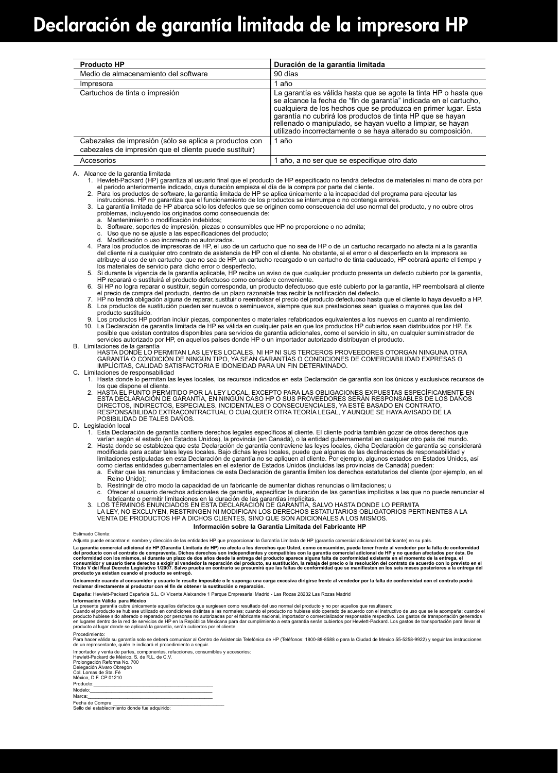| <b>Producto HP</b>                                                                                               | Duración de la garantía limitada                                                                                                                                                                                                                                                                                                                                                                     |
|------------------------------------------------------------------------------------------------------------------|------------------------------------------------------------------------------------------------------------------------------------------------------------------------------------------------------------------------------------------------------------------------------------------------------------------------------------------------------------------------------------------------------|
| Medio de almacenamiento del software                                                                             | 90 días                                                                                                                                                                                                                                                                                                                                                                                              |
| Impresora                                                                                                        | 1 año                                                                                                                                                                                                                                                                                                                                                                                                |
| Cartuchos de tinta o impresión                                                                                   | La garantía es válida hasta que se agote la tinta HP o hasta que<br>se alcance la fecha de "fin de garantía" indicada en el cartucho.<br>cualquiera de los hechos que se produzca en primer lugar. Esta<br>garantía no cubrirá los productos de tinta HP que se hayan<br>rellenado o manipulado, se hayan vuelto a limpiar, se hayan<br>utilizado incorrectamente o se haya alterado su composición. |
| Cabezales de impresión (sólo se aplica a productos con<br>cabezales de impresión que el cliente puede sustituir) | 1 año                                                                                                                                                                                                                                                                                                                                                                                                |
| Accesorios                                                                                                       | 1 año, a no ser que se especifique otro dato                                                                                                                                                                                                                                                                                                                                                         |

A. Alcance de la garantía limitada

- 1. Hewlett-Packard (HP) garantiza al usuario final que el producto de HP especificado no tendrá defectos de materiales ni mano de obra por el periodo anteriormente indicado, cuya duración empieza el día de la compra por parte del cliente.
- 2. Para los productos de software, la garantía limitada de HP se aplica únicamente a la incapacidad del programa para ejecutar las instrucciones. HP no garantiza que el funcionamiento de los productos se interrumpa o no contenga errores.
- 3. La garantía limitada de HP abarca sólo los defectos que se originen como consecuencia del uso normal del producto, y no cubre otros problemas, incluyendo los originados como consecuencia de:
	- a. Mantenimiento o modificación indebidos;
	- b. Software, soportes de impresión, piezas o consumibles que HP no proporcione o no admita;<br>c. Uso que no se ajuste a las especificaciones del producto; Uso que no se ajuste a las especificaciones del producto;
	- d. Modificación o uso incorrecto no autorizados.
- 4. Para los productos de impresoras de HP, el uso de un cartucho que no sea de HP o de un cartucho recargado no afecta ni a la garantía del cliente ni a cualquier otro contrato de asistencia de HP con el cliente. No obstante, si el error o el desperfecto en la impresora se atribuye al uso de un cartucho que no sea de HP, un cartucho recargado o un cartucho de tinta caducado, HP cobrará aparte el tiempo y los materiales de servicio para dicho error o desperfecto.
- 5. Si durante la vigencia de la garantía aplicable, HP recibe un aviso de que cualquier producto presenta un defecto cubierto por la garantía, HP reparará o sustituirá el producto defectuoso como considere conveniente.
- 6. Si HP no logra reparar o sustituir, según corresponda, un producto defectuoso que esté cubierto por la garantía, HP reembolsará al cliente el precio de compra del producto, dentro de un plazo razonable tras recibir la notificación del defecto.
- 7. HP no tendrá obligación alguna de reparar, sustituir o reembolsar el precio del producto defectuoso hasta que el cliente lo haya devuelto a HP.<br>8. Los productos de sustitución pueden ser nuevos o seminuevos, siempre que producto sustituido.
	- 9. Los productos HP podrían incluir piezas, componentes o materiales refabricados equivalentes a los nuevos en cuanto al rendimiento. 10. La Declaración de garantía limitada de HP es válida en cualquier país en que los productos HP cubiertos sean distribuidos por HP. Es<br>posible que existan contratos disponibles para servicios de garantía adicionales, com servicios autorizado por HP, en aquellos países donde HP o un importador autorizado distribuyan el producto.

#### B. Limitaciones de la garantía

HASTA DONDE LO PERMITAN LAS LEYES LOCALES, NI HP NI SUS TERCEROS PROVEEDORES OTORGAN NINGUNA OTRA<br>GARANTÍA O CONDICIÓN DE NINGÚN TIPO, YA SEAN GARANTÍAS O CONDICIONES DE COMERCIABILIDAD EXPRESAS O IMPLÍCITAS, CALIDAD SATISFACTORIA E IDONEIDAD PARA UN FIN DETERMINADO.

#### C. Limitaciones de responsabilidad

- 1. Hasta donde lo permitan las leyes locales, los recursos indicados en esta Declaración de garantía son los únicos y exclusivos recursos de
- los que dispone el cliente. 2. HASTA EL PUNTO PERMITIDO POR LA LEY LOCAL, EXCEPTO PARA LAS OBLIGACIONES EXPUESTAS ESPECÍFICAMENTE EN ESTA DECLARACIÓN DE GARANTIA, EN NINGÚN CASO HP O SUS PROVEEDORES SERÁN RESPONSABLES DE LOS DAÑOS<br>DIRECTOS, INDIRECTOS, ESPECIALES, INCIDENTALES O CONSECUENCIALES, YA ESTÉ BASADO EN CONTRATO, RESPONSABILIDAD EXTRACONTRACTUAL O CUALQUIER OTRA TEORÍA LEGAL, Y AUNQUE SE HAYA AVISADO DE LA POSIBILIDAD DE TALES DAÑOS.

#### D. Legislación local

1. Esta Declaración de garantía confiere derechos legales específicos al cliente. El cliente podría también gozar de otros derechos que<br>varían según el estado (en Estados Unidos), la provincia (en Canadá), o la entidad gub

- modificada para acatar tales leyes locales. Bajo dichas leyes locales, puede que algunas de las declinaciones de responsabilidad y<br>limitaciones estipuladas en esta Declaración de garantía no se apliquen al cliente. Por eje
- como ciertas entidades gubernamentales en el exterior de Estados Unidos (incluidas las provincias de Canadá) pueden:<br>a. Evitar que las renuncias y limitaciones de esta Declaración de garantía limiten los derechos estatut Reino Unido);
	- b. Restringir de otro modo la capacidad de un fabricante de aumentar dichas renuncias o limitaciones; u
	- c. Ofrecer al usuario derechos adicionales de garantía, especificar la duración de las garantías implícitas a las que no puede renunciar el
- fabricante o permitir limitaciones en la duración de las garantías implícitas. 3. LOS TÉRMINOS ENUNCIADOS EN ESTA DECLARACIÓN DE GARANTÍA, SALVO HASTA DONDE LO PERMITA

LA LEY, NO EXCLUYEN, RESTRINGEN NI MODIFICAN LOS DERECHOS ESTATUTARIOS OBLIGATORIOS PERTINENTES A LA<br>VENTA DE PRODUCTOS HP A DICHOS CLIENTES, SINO QUE SON ADICIONALES A LOS MISMOS.

#### **Información sobre la Garantía Limitada del Fabricante HP**

Estimado Cliente:<br>Adjunto puede encontrar el nombre y dirección de las entidades HP que proporcionan la Garantía Limitada de HP (garantía comercial adicional del fabricante) en su país.

Adjunto puede encontar el mombre y dirección de las emidades HP que proporcionan las de las emidades de mombre de las emidades de las emidades de las emidades de las emidades por la falta de conformidad<br>La garantía com el

Unicamente cuando al consumidor y usuario le resulte imposible o le suponga una case sta dirigirse frente al vendedor por la falta de conformidad con el contrato podrá<br>reclamar directamente al productor con el fin de obten

**España:** Hewlett-Packard Española S.L. C/ Vicente Aleixandre 1 Parque Empresarial Madrid - Las Rozas 28232 Las Rozas Madrid

#### **Información Válida para México**

La presenta grantia cubre inicamente aquelos defectos que surgios en conservante de la producto y no provide co<br>Cuando el producto se hubiese utilizado en condiciones distintas alsa nomales cuando el producto de uso que se producto al lugar donde se aplicará la garantía, serán cubiertos por el cliente.

Procedimiento:<br>Para hacer válida su garantía solo se deberá comunicar al Centro de Asistencia Telefónica de HP (Teléfonos: 1800-88-8588 o para la Ciudad de Mexico 55-5258-9922) y seguir las instrucciones

de un representante, quién le indicará el procedimiento a seguir.<br>Importador y venta de partes, componentes, refacciones, consumibles y accesorios:<br>Hewiett-Packard de México. S. de R.L. de C.V.<br>Peiologación Reforma No. 70<br> Modelo:\_\_\_\_\_\_\_\_\_\_\_\_\_\_\_\_\_\_\_\_\_\_\_\_\_\_\_\_\_\_\_\_\_\_\_\_\_\_\_\_\_\_\_\_\_\_

Marca:\_\_\_\_\_\_\_\_\_\_\_\_\_\_\_\_\_\_\_\_\_\_\_\_\_\_\_\_\_\_\_\_\_\_\_\_\_\_\_\_\_\_\_\_\_\_\_ Fecha de Compra:\_\_\_\_\_\_\_\_\_\_\_\_\_\_\_\_\_\_\_\_\_\_\_\_\_\_\_\_\_\_\_\_\_\_\_\_\_\_\_\_\_\_ Sello del establecimiento donde fue adquirido: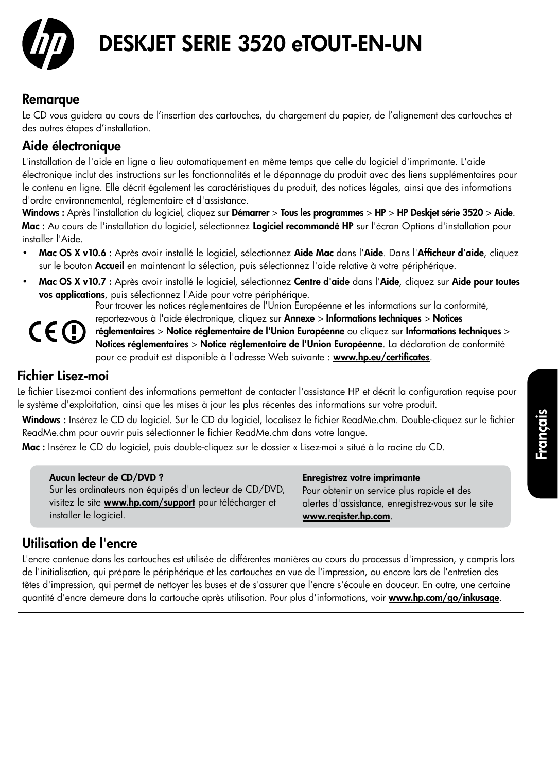

# DESKJET SERIE 3520 eTOUT-EN-UN

## Remarque

Le CD vous guidera au cours de l'insertion des cartouches, du chargement du papier, de l'alignement des cartouches et des autres étapes d'installation.

## Aide électronique

L'installation de l'aide en ligne a lieu automatiquement en même temps que celle du logiciel d'imprimante. L'aide électronique inclut des instructions sur les fonctionnalités et le dépannage du produit avec des liens supplémentaires pour le contenu en ligne. Elle décrit également les caractéristiques du produit, des notices légales, ainsi que des informations d'ordre environnemental, réglementaire et d'assistance.

Windows : Après l'installation du logiciel, cliquez sur Démarrer > Tous les programmes > HP > HP Deskjet série 3520 > Aide. Mac : Au cours de l'installation du logiciel, sélectionnez Logiciel recommandé HP sur l'écran Options d'installation pour installer l'Aide.

- Mac OS X v10.6 : Après avoir installé le logiciel, sélectionnez Aide Mac dans l'Aide. Dans l'Afficheur d'aide, cliquez sur le bouton Accueil en maintenant la sélection, puis sélectionnez l'aide relative à votre périphérique.
- Mac OS X v10.7 : Après avoir installé le logiciel, sélectionnez Centre d'aide dans l'Aide, cliquez sur Aide pour toutes vos applications, puis sélectionnez l'Aide pour votre périphérique.

Pour trouver les notices réglementaires de l'Union Européenne et les informations sur la conformité,



reportez-vous à l'aide électronique, cliquez sur Annexe > Informations techniques > Notices réglementaires > Notice réglementaire de l'Union Européenne ou cliquez sur Informations techniques > Notices réglementaires > Notice réglementaire de l'Union Européenne. La déclaration de conformité pour ce produit est disponible à l'adresse Web suivante : [www.hp.eu/certificates](http://www.hp.eu/certificates).

Fichier Lisez-moi

Le fichier Lisez-moi contient des informations permettant de contacter l'assistance HP et décrit la configuration requise pour le système d'exploitation, ainsi que les mises à jour les plus récentes des informations sur votre produit.

Windows : Insérez le CD du logiciel. Sur le CD du logiciel, localisez le fichier ReadMe.chm. Double-cliquez sur le fichier ReadMe.chm pour ouvrir puis sélectionner le fichier ReadMe.chm dans votre langue.

Mac : Insérez le CD du logiciel, puis double-cliquez sur le dossier « Lisez-moi » situé à la racine du CD.

### Aucun lecteur de CD/DVD ?

Sur les ordinateurs non équipés d'un lecteur de CD/DVD, visitez le site **[www.hp.com/support](http://www.hp.com/support)** pour télécharger et installer le logiciel.

### Enregistrez votre imprimante

Pour obtenir un service plus rapide et des alertes d'assistance, enregistrez-vous sur le site [www.register.hp.com](http://www.register.hp.com).

## Utilisation de l'encre

L'encre contenue dans les cartouches est utilisée de différentes manières au cours du processus d'impression, y compris lors de l'initialisation, qui prépare le périphérique et les cartouches en vue de l'impression, ou encore lors de l'entretien des têtes d'impression, qui permet de nettoyer les buses et de s'assurer que l'encre s'écoule en douceur. En outre, une certaine quantité d'encre demeure dans la cartouche après utilisation. Pour plus d'informations, voir [www.hp.com/go/inkusage](http://www.hp.com/go/inkusage).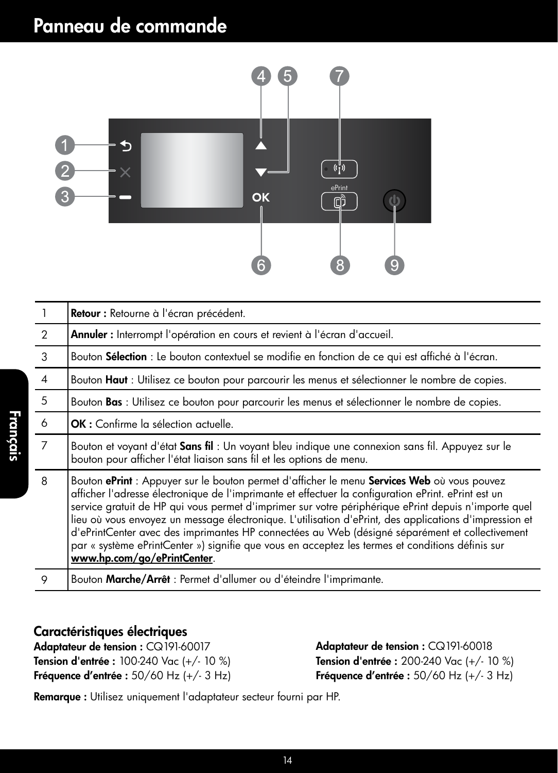# Panneau de commande



|                | Retour : Retourne à l'écran précédent.                                                                                                                                                                                                                                                                                                                                                                                                                                                                                                                                                                                                                    |  |
|----------------|-----------------------------------------------------------------------------------------------------------------------------------------------------------------------------------------------------------------------------------------------------------------------------------------------------------------------------------------------------------------------------------------------------------------------------------------------------------------------------------------------------------------------------------------------------------------------------------------------------------------------------------------------------------|--|
| $\mathcal{P}$  | Annuler : Interrompt l'opération en cours et revient à l'écran d'accueil.                                                                                                                                                                                                                                                                                                                                                                                                                                                                                                                                                                                 |  |
| 3              | Bouton Sélection : Le bouton contextuel se modifie en fonction de ce qui est affiché à l'écran.                                                                                                                                                                                                                                                                                                                                                                                                                                                                                                                                                           |  |
| $\overline{4}$ | Bouton Haut : Utilisez ce bouton pour parcourir les menus et sélectionner le nombre de copies.                                                                                                                                                                                                                                                                                                                                                                                                                                                                                                                                                            |  |
| 5              | Bouton Bas : Utilisez ce bouton pour parcourir les menus et sélectionner le nombre de copies.                                                                                                                                                                                                                                                                                                                                                                                                                                                                                                                                                             |  |
| 6              | <b>OK</b> : Confirme la sélection actuelle.                                                                                                                                                                                                                                                                                                                                                                                                                                                                                                                                                                                                               |  |
| 7              | Bouton et voyant d'état Sans fil : Un voyant bleu indique une connexion sans fil. Appuyez sur le<br>bouton pour afficher l'état liaison sans fil et les options de menu.                                                                                                                                                                                                                                                                                                                                                                                                                                                                                  |  |
| 8              | Bouton ePrint : Appuyer sur le bouton permet d'afficher le menu Services Web où vous pouvez<br>afficher l'adresse électronique de l'imprimante et effectuer la configuration ePrint. ePrint est un<br>service gratuit de HP qui vous permet d'imprimer sur votre périphérique ePrint depuis n'importe quel<br>lieu où vous envoyez un message électronique. L'utilisation d'ePrint, des applications d'impression et<br>d'ePrintCenter avec des imprimantes HP connectées au Web (désigné séparément et collectivement<br>par « système ePrintCenter ») signifie que vous en acceptez les termes et conditions définis sur<br>www.hp.com/go/ePrintCenter. |  |
| 9              | Bouton Marche/Arrêt : Permet d'allumer ou d'éteindre l'imprimante.                                                                                                                                                                                                                                                                                                                                                                                                                                                                                                                                                                                        |  |

## Caractéristiques électriques

Français

Adaptateur de tension : CQ191-60017 Tension d'entrée : 100-240 Vac (+/- 10 %) Fréquence d'entrée : 50/60 Hz (+/- 3 Hz) Adaptateur de tension : CQ191-60018 Tension d'entrée : 200-240 Vac (+/- 10 %) Fréquence d'entrée : 50/60 Hz (+/- 3 Hz)

Remarque : Utilisez uniquement l'adaptateur secteur fourni par HP.

14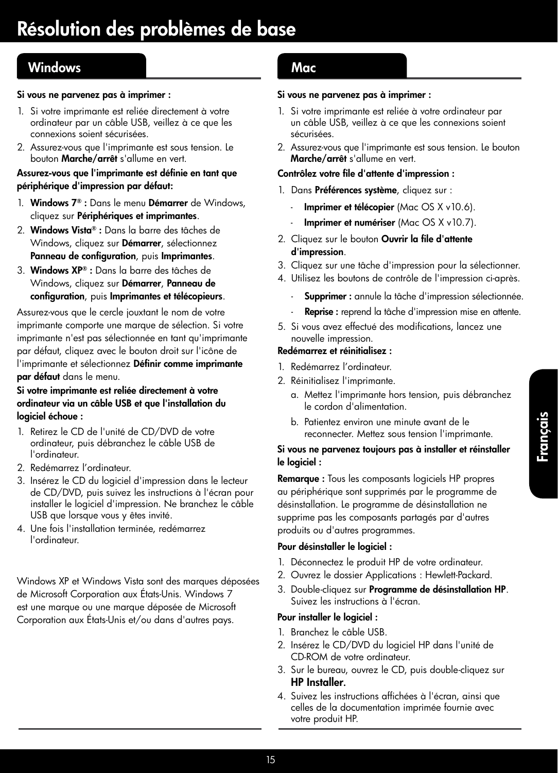## Windows **Mac**

#### Si vous ne parvenez pas à imprimer :

- 1. Si votre imprimante est reliée directement à votre ordinateur par un câble USB, veillez à ce que les connexions soient sécurisées.
- 2. Assurez-vous que l'imprimante est sous tension. Le bouton Marche/arrêt s'allume en vert.

#### Assurez-vous que l'imprimante est définie en tant que périphérique d'impression par défaut:

- 1. Windows 7® : Dans le menu Démarrer de Windows, cliquez sur Périphériques et imprimantes.
- 2. Windows Vista® : Dans la barre des tâches de Windows, cliquez sur Démarrer, sélectionnez Panneau de configuration, puis Imprimantes.
- 3. Windows XP® : Dans la barre des tâches de Windows, cliquez sur Démarrer, Panneau de configuration, puis Imprimantes et télécopieurs.

Assurez-vous que le cercle jouxtant le nom de votre imprimante comporte une marque de sélection. Si votre imprimante n'est pas sélectionnée en tant qu'imprimante par défaut, cliquez avec le bouton droit sur l'icône de l'imprimante et sélectionnez Définir comme imprimante par défaut dans le menu.

#### Si votre imprimante est reliée directement à votre ordinateur via un câble USB et que l'installation du logiciel échoue :

- 1. Retirez le CD de l'unité de CD/DVD de votre ordinateur, puis débranchez le câble USB de l'ordinateur.
- 2. Redémarrez l'ordinateur.
- 3. Insérez le CD du logiciel d'impression dans le lecteur de CD/DVD, puis suivez les instructions à l'écran pour installer le logiciel d'impression. Ne branchez le câble USB que lorsque vous y êtes invité.
- 4. Une fois l'installation terminée, redémarrez l'ordinateur.

Windows XP et Windows Vista sont des marques déposées de Microsoft Corporation aux États-Unis. Windows 7 est une marque ou une marque déposée de Microsoft Corporation aux États-Unis et/ou dans d'autres pays.

#### Si vous ne parvenez pas à imprimer :

- 1. Si votre imprimante est reliée à votre ordinateur par un câble USB, veillez à ce que les connexions soient sécurisées.
- 2. Assurez-vous que l'imprimante est sous tension. Le bouton Marche/arrêt s'allume en vert.

#### Contrôlez votre file d'attente d'impression :

- 1. Dans Préférences système, cliquez sur :
	- Imprimer et télécopier (Mac OS X v10.6).
	- Imprimer et numériser (Mac OS X v10.7).
- 2. Cliquez sur le bouton Ouvrir la file d'attente d'impression.
- 3. Cliquez sur une tâche d'impression pour la sélectionner.
- 4. Utilisez les boutons de contrôle de l'impression ci-après.
	- Supprimer : annule la tâche d'impression sélectionnée.
	- Reprise : reprend la tâche d'impression mise en attente.
- 5. Si vous avez effectué des modifications, lancez une nouvelle impression.

#### Redémarrez et réinitialisez :

- 1. Redémarrez l'ordinateur.
- 2. Réinitialisez l'imprimante.
	- a. Mettez l'imprimante hors tension, puis débranchez le cordon d'alimentation.
	- b. Patientez environ une minute avant de le reconnecter. Mettez sous tension l'imprimante.

#### Si vous ne parvenez toujours pas à installer et réinstaller le logiciel :

Remarque : Tous les composants logiciels HP propres au périphérique sont supprimés par le programme de désinstallation. Le programme de désinstallation ne supprime pas les composants partagés par d'autres produits ou d'autres programmes.

#### Pour désinstaller le logiciel :

- 1. Déconnectez le produit HP de votre ordinateur.
- 2. Ouvrez le dossier Applications : Hewlett-Packard.
- 3. Double-cliquez sur Programme de désinstallation HP. Suivez les instructions à l'écran.

#### Pour installer le logiciel :

- 1. Branchez le câble USB.
- 2. Insérez le CD/DVD du logiciel HP dans l'unité de CD-ROM de votre ordinateur.
- 3. Sur le bureau, ouvrez le CD, puis double-cliquez sur HP Installer.
- 4. Suivez les instructions affichées à l'écran, ainsi que celles de la documentation imprimée fournie avec votre produit HP.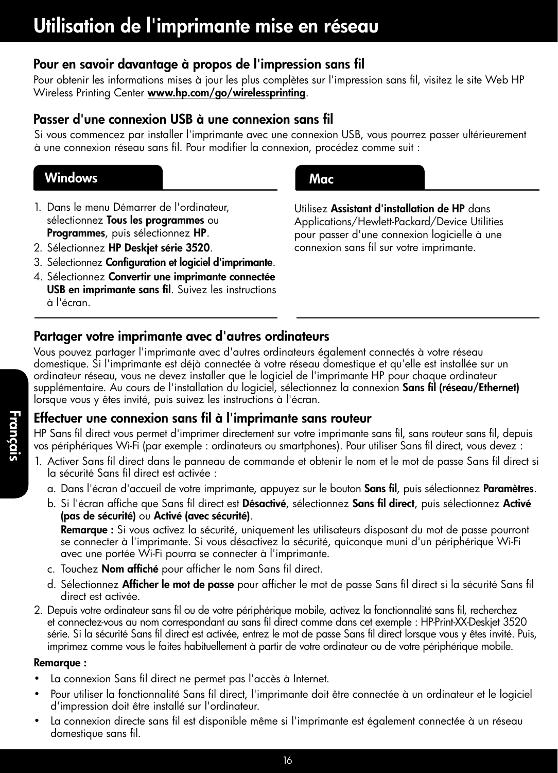## Pour en savoir davantage à propos de l'impression sans fil

Pour obtenir les informations mises à jour les plus complètes sur l'impression sans fil, visitez le site Web HP Wireless Printing Center [www.hp.com/go/wirelessprinting](http://www.hp.com/go/wirelessprinting).

## Passer d'une connexion USB à une connexion sans fil

Si vous commencez par installer l'imprimante avec une connexion USB, vous pourrez passer ultérieurement à une connexion réseau sans fil. Pour modifier la connexion, procédez comme suit :

## Windows **Mac**

- 1. Dans le menu Démarrer de l'ordinateur, sélectionnez Tous les programmes ou Programmes, puis sélectionnez HP.
- 2. Sélectionnez HP Deskjet série 3520.
- 3. Sélectionnez Configuration et logiciel d'imprimante.
- 4. Sélectionnez Convertir une imprimante connectée USB en imprimante sans fil. Suivez les instructions à l'écran.

Utilisez Assistant d'installation de HP dans Applications/Hewlett-Packard/Device Utilities pour passer d'une connexion logicielle à une connexion sans fil sur votre imprimante.

## Partager votre imprimante avec d'autres ordinateurs

Vous pouvez partager l'imprimante avec d'autres ordinateurs également connectés à votre réseau domestique. Si l'imprimante est déjà connectée à votre réseau domestique et qu'elle est installée sur un ordinateur réseau, vous ne devez installer que le logiciel de l'imprimante HP pour chaque ordinateur supplémentaire. Au cours de l'installation du logiciel, sélectionnez la connexion Sans fil (réseau/Ethernet) lorsque vous y êtes invité, puis suivez les instructions à l'écran.

## Effectuer une connexion sans fil à l'imprimante sans routeur

HP Sans fil direct vous permet d'imprimer directement sur votre imprimante sans fil, sans routeur sans fil, depuis vos périphériques Wi-Fi (par exemple : ordinateurs ou smartphones). Pour utiliser Sans fil direct, vous devez :

- 1. Activer Sans fil direct dans le panneau de commande et obtenir le nom et le mot de passe Sans fil direct si la sécurité Sans fil direct est activée :
	- a. Dans l'écran d'accueil de votre imprimante, appuyez sur le bouton **Sans fil**, puis sélectionnez **Paramètres**.
	- b. Si l'écran affiche que Sans fil direct est Désactivé, sélectionnez Sans fil direct, puis sélectionnez Activé (pas de sécurité) ou Activé (avec sécurité).

Remarque : Si vous activez la sécurité, uniquement les utilisateurs disposant du mot de passe pourront se connecter à l'imprimante. Si vous désactivez la sécurité, quiconque muni d'un périphérique Wi-Fi avec une portée Wi-Fi pourra se connecter à l'imprimante.

- c. Touchez Nom affiché pour afficher le nom Sans fil direct.
- d. Sélectionnez Afficher le mot de passe pour afficher le mot de passe Sans fil direct si la sécurité Sans fil direct est activée.
- 2. Depuis votre ordinateur sans fil ou de votre périphérique mobile, activez la fonctionnalité sans fil, recherchez et connectez-vous au nom correspondant au sans fil direct comme dans cet exemple : HP-Print-XX-Deskjet 3520 série. Si la sécurité Sans fil direct est activée, entrez le mot de passe Sans fil direct lorsque vous y êtes invité. Puis, imprimez comme vous le faites habituellement à partir de votre ordinateur ou de votre périphérique mobile.

### Remarque :

- La connexion Sans fil direct ne permet pas l'accès à Internet.
- Pour utiliser la fonctionnalité Sans fil direct, l'imprimante doit être connectée à un ordinateur et le logiciel d'impression doit être installé sur l'ordinateur.
- La connexion directe sans fil est disponible même si l'imprimante est également connectée à un réseau domestique sans fil.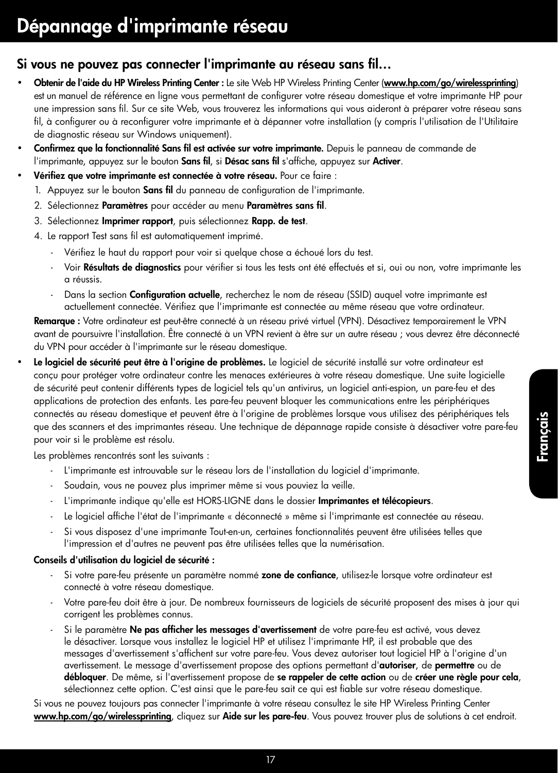## Si vous ne pouvez pas connecter l'imprimante au réseau sans fil…

- Obtenir de l'aide du HP Wireless Printing Center : Le site Web HP Wireless Printing Center ([www.hp.com/go/wirelessprinting](http://www.hp.com/go/wirelessprinting)) est un manuel de référence en ligne vous permettant de configurer votre réseau domestique et votre imprimante HP pour une impression sans fil. Sur ce site Web, vous trouverez les informations qui vous aideront à préparer votre réseau sans fil, à configurer ou à reconfigurer votre imprimante et à dépanner votre installation (y compris l'utilisation de l'Utilitaire de diagnostic réseau sur Windows uniquement).
- Confirmez que la fonctionnalité Sans fil est activée sur votre imprimante. Depuis le panneau de commande de l'imprimante, appuyez sur le bouton Sans fil, si Désac sans fil s'affiche, appuyez sur Activer.
- Vérifiez que votre imprimante est connectée à votre réseau. Pour ce faire :
	- 1. Appuyez sur le bouton Sans fil du panneau de configuration de l'imprimante.
	- 2. Sélectionnez Paramètres pour accéder au menu Paramètres sans fil.
	- 3. Sélectionnez Imprimer rapport, puis sélectionnez Rapp. de test.
	- 4. Le rapport Test sans fil est automatiquement imprimé.
		- Vérifiez le haut du rapport pour voir si quelque chose a échoué lors du test.
		- Voir Résultats de diagnostics pour vérifier si tous les tests ont été effectués et si, oui ou non, votre imprimante les a réussis.
		- Dans la section **Configuration actuelle**, recherchez le nom de réseau (SSID) auquel votre imprimante est actuellement connectée. Vérifiez que l'imprimante est connectée au même réseau que votre ordinateur.

Remarque : Votre ordinateur est peut-être connecté à un réseau privé virtuel (VPN). Désactivez temporairement le VPN avant de poursuivre l'installation. Être connecté à un VPN revient à être sur un autre réseau ; vous devrez être déconnecté du VPN pour accéder à l'imprimante sur le réseau domestique.

Le logiciel de sécurité peut être à l'origine de problèmes. Le logiciel de sécurité installé sur votre ordinateur est conçu pour protéger votre ordinateur contre les menaces extérieures à votre réseau domestique. Une suite logicielle de sécurité peut contenir différents types de logiciel tels qu'un antivirus, un logiciel anti-espion, un pare-feu et des applications de protection des enfants. Les pare-feu peuvent bloquer les communications entre les périphériques connectés au réseau domestique et peuvent être à l'origine de problèmes lorsque vous utilisez des périphériques tels que des scanners et des imprimantes réseau. Une technique de dépannage rapide consiste à désactiver votre pare-feu pour voir si le problème est résolu.

Les problèmes rencontrés sont les suivants :

- L'imprimante est introuvable sur le réseau lors de l'installation du logiciel d'imprimante.
- Soudain, vous ne pouvez plus imprimer même si vous pouviez la veille.
- L'imprimante indique qu'elle est HORS-LIGNE dans le dossier Imprimantes et télécopieurs.
- Le logiciel affiche l'état de l'imprimante « déconnecté » même si l'imprimante est connectée au réseau.
- Si vous disposez d'une imprimante Tout-en-un, certaines fonctionnalités peuvent être utilisées telles que l'impression et d'autres ne peuvent pas être utilisées telles que la numérisation.

#### Conseils d'utilisation du logiciel de sécurité :

- Si votre pare-feu présente un paramètre nommé zone de confiance, utilisez-le lorsque votre ordinateur est connecté à votre réseau domestique.
- Votre pare-feu doit être à jour. De nombreux fournisseurs de logiciels de sécurité proposent des mises à jour qui corrigent les problèmes connus.
- Si le paramètre Ne pas afficher les messages d'avertissement de votre pare-feu est activé, vous devez le désactiver. Lorsque vous installez le logiciel HP et utilisez l'imprimante HP, il est probable que des messages d'avertissement s'affichent sur votre pare-feu. Vous devez autoriser tout logiciel HP à l'origine d'un avertissement. Le message d'avertissement propose des options permettant d'autoriser, de permettre ou de débloquer. De même, si l'avertissement propose de se rappeler de cette action ou de créer une règle pour cela, sélectionnez cette option. C'est ainsi que le pare-feu sait ce qui est fiable sur votre réseau domestique.

Si vous ne pouvez toujours pas connecter l'imprimante à votre réseau consultez le site HP Wireless Printing Center [www.hp.com/go/wirelessprinting](http://www.hp.com/go/wirelessprinting), cliquez sur Aide sur les pare-feu. Vous pouvez trouver plus de solutions à cet endroit.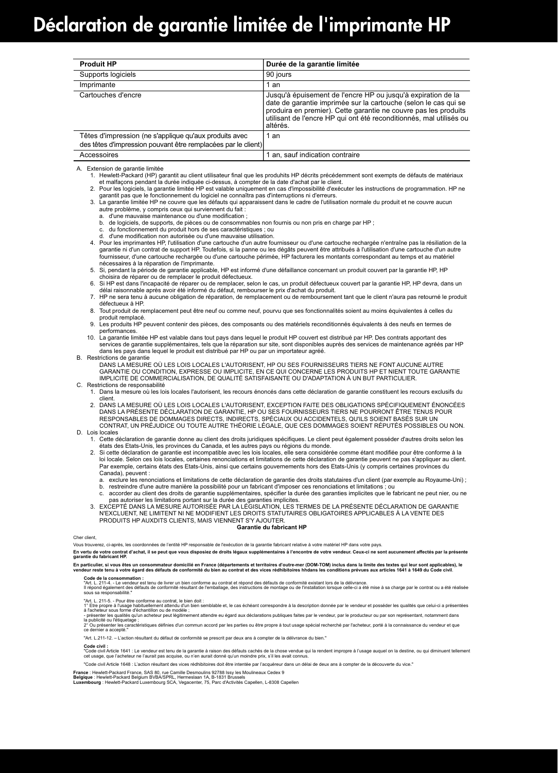# Déclaration de garantie limitée de l'imprimante HP

| <b>Produit HP</b>                                                                                                       | Durée de la garantie limitée                                                                                                                                                                                                                                                          |
|-------------------------------------------------------------------------------------------------------------------------|---------------------------------------------------------------------------------------------------------------------------------------------------------------------------------------------------------------------------------------------------------------------------------------|
| Supports logiciels                                                                                                      | 90 jours                                                                                                                                                                                                                                                                              |
| Imprimante                                                                                                              | 1 an                                                                                                                                                                                                                                                                                  |
| Cartouches d'encre                                                                                                      | Jusqu'à épuisement de l'encre HP ou jusqu'à expiration de la<br>date de garantie imprimée sur la cartouche (selon le cas qui se<br>produira en premier). Cette garantie ne couvre pas les produits<br>utilisant de l'encre HP qui ont été reconditionnés, mal utilisés ou<br>altérés. |
| Têtes d'impression (ne s'applique qu'aux produits avec<br>des têtes d'impression pouvant être remplacées par le client) | 1 an                                                                                                                                                                                                                                                                                  |
| Accessoires                                                                                                             | 1 an, sauf indication contraire                                                                                                                                                                                                                                                       |

A. Extension de garantie limitée

- garantit pas que le fonctionnement du logiciel ne connaîtra pas d'interruptions ni d'erreurs.
- 3. La garantie limitée HP ne couvre que les défauts qui apparaissent dans le cadre de l'utilisation normale du produit et ne couvre aucun autre problème, y compris ceux qui surviennent du fait :
	- a. d'une mauvaise maintenance ou d'une modification ;
	- b. de logiciels, de supports, de pièces ou de consommables non fournis ou non pris en charge par HP ;
	- c. du fonctionnement du produit hors de ses caractéristiques ; ou d. d'une modification non autorisée ou d'une mauvaise utilisation.
	- 4. Pour les imprimantes HP, l'utilisation d'une cartouche d'un autre fournisseur ou d'une cartouche rechargée n'entraîne pas la résiliation de la garantie ni d'un contrat de support HP. Toutefois, si la panne ou les dégâts peuvent être attribués à l'utilisation d'une cartouche d'un autre<br>fournisseur, d'une cartouche rechargée ou d'une cartouche périmée, HP facturera nécessaires à la réparation de l'imprimante.
	- 5. Si, pendant la période de garantie applicable, HP est informé d'une défaillance concernant un produit couvert par la garantie HP, HP choisira de réparer ou de remplacer le produit défectueux.
	- 6. Si HP est dans l'incapacité de réparer ou de remplacer, selon le cas, un produit défectueux couvert par la garantie HP, HP devra, dans un délai raisonnable après avoir été informé du défaut, rembourser le prix d'achat du produit.
	- 7. HP ne sera tenu à aucune obligation de réparation, de remplacement ou de remboursement tant que le client n'aura pas retourné le produit défectueux à HP.
	- 8. Tout produit de remplacement peut être neuf ou comme neuf, pourvu que ses fonctionnalités soient au moins équivalentes à celles du produit remplacé.
	- 9. Les produits HP peuvent contenir des pièces, des composants ou des matériels reconditionnés équivalents à des neufs en termes de performances.
	- 10. La garantie limitée HP est valable dans tout pays dans lequel le produit HP couvert est distribué par HP. Des contrats apportant des services de garantie supplémentaires, tels que la réparation sur site, sont disponibles auprès des services de maintenance agréés par HP dans les pays dans lequel le produit est distribué par HP ou par un importateur agréé.

#### B. Restrictions de garantie

- DANS LA MESURE OÙ LES LOIS LOCALES L'AUTORISENT, HP OU SES FOURNISSEURS TIERS NE FONT AUCUNE AUTRE GARANTIE OU CONDITION, EXPRESSE OU IMPLICITE, EN CE QUI CONCERNE LES PRODUITS HP ET NIENT TOUTE GARANTIE IMPLICITE DE COMMERCIALISATION, DE QUALITÉ SATISFAISANTE OU D'ADAPTATION À UN BUT PARTICULIER. C. Restrictions de responsabilité
	- 1. Dans la mesure où les lois locales l'autorisent, les recours énoncés dans cette déclaration de garantie constituent les recours exclusifs du client.
	- 2. DANS LA MESURE OÙ LES LOIS LOCALES L'AUTORISENT, EXCEPTION FAITE DES OBLIGATIONS SPÉCIFIQUEMENT ÉNONCÉES DANS LA PRÉSENTE DÉCLARATION DE GARANTIE, HP OU SES FOURNISSEURS TIERS NE POURRONT ÊTRE TENUS POUR RESPONSABLES DE DOMMAGES DIRECTS, INDIRECTS, SPÉCIAUX OU ACCIDENTELS, QU'ILS SOIENT BASÉS SUR UN CONTRAT, UN PRÉJUDICE OU TOUTE AUTRE THÉORIE LÉGALE, QUE CES DOMMAGES SOIENT RÉPUTÉS POSSIBLES OU NON.
- D. Lois locales 1. Cette déclaration de garantie donne au client des droits juridiques spécifiques. Le client peut également posséder d'autres droits selon les
	- états des Etats-Unis, les provinces du Canada, et les autres pays ou régions du monde. 2. Si cette déclaration de garantie est incompatible avec les lois locales, elle sera considérée comme étant modifiée pour être conforme à la loi locale. Selon ces lois locales, certaines renonciations et limitations de cette déclaration de garantie peuvent ne pas s'appliquer au client. Par exemple, certains états des Etats-Unis, ainsi que certains gouvernements hors des Etats-Unis (y compris certaines provinces du
		- Canada), peuvent : a. exclure les renonciations et limitations de cette déclaration de garantie des droits statutaires d'un client (par exemple au Royaume-Uni) ; b. restreindre d'une autre manière la possibilité pour un fabricant d'imposer ces renonciations et limitations; ou
		- c. accorder au client des droits de garantie supplémentaires, spécifier la durée des garanties implicites que le fabricant ne peut nier, ou ne pas autoriser les limitations portant sur la durée des garanties implicites.
	- 3. EXCEPTÉ DANS LA MESURE AUTORISÉE PAR LA LÉGISLATION, LES TERMES DE LA PRÉSENTE DÉCLARATION DE GARANTIE N'EXCLUENT, NE LIMITENT NI NE MODIFIENT LES DROITS STATUTAIRES OBLIGATOIRES APPLICABLES À LA VENTE DES PRODUITS HP AUXDITS CLIENTS, MAIS VIENNENT S'Y AJOUTER.

#### **Garantie du fabricant HP**

#### Cher client

Vous trouverez, ci-après, les coordonnées de l'entilé HP responsable de l'exécution de la garantie fabricant relative à votre matériel HP dans votre pays.<br>En vertu de votre contrat d'achat, il se peut que vous disposiez de

### En particulier, si vous êtes un consommateur domicilié en France (départements et territoires d'outre-mer (DOM-TOM) inclus dans la miné des textes qui leur sont applicables), le<br>vendeur reste tenu à votre égard des défaut

Code de la consommation :<br>"Art. L. 211-4. - Le vendeur est tenu de livrer un bien conforme au contrat et répond des défauts de conformité existant lors de la délivrance.<br>"Inépord également des défauts de conformité résulta

"Art. 211-5. - Pour être conforme au contrat, le bien doit :<br>à l'acteteur sous forme d'échantilion ou de modele ;<br>à l'acteteur sous forme d'échantilion ou de modele ;<br>- présenter les qualités qu'un achèteur peut léglitmeme

ce dernier a accepté."

"Art. L.211-12. – L'action résultant du défaut de conformité se prescrit par deux ans à compter de la délivrance du bien."

Code civil :<br>"Code civil Article 1641 : Le vendeur est tenu de la garantie à raison des défauts cachés de la chose vendue qui la rendent impropre à l'usage auquel on la destine, ou qui diminuent tellement<br>cet usage, que l

"Code civil Article 1648 : L'action résultant des vices rédhibitoires doit être intentée par l'acquéreur dans un délai de deux ans à compter de la découverte du vice."

F**rance** : Hewlett-Packard France, SAS 80, rue Camille Desmoulins 92788 Issy les Moulineaux Cedex 9<br>**Belgique :** Hewlett-Packard Belgium BVBA/SPRL, Hermeslaan 1A, B-1831 Brussels<br>**Luxembourg** : Hewlett-Packard Luxembourg S

 <sup>1.</sup> Hewlett-Packard (HP) garantit au client utilisateur final que les produhits HP décrits précédemment sont exempts de défauts de matériaux et malfaçons pendant la durée indiquée ci-dessus, à compter de la date d'achat par le client.<br>2. Pour les logiciels, la garantie limitée HP est valable uniquement en cas d'impossibilité d'exécuter les instructions de prog